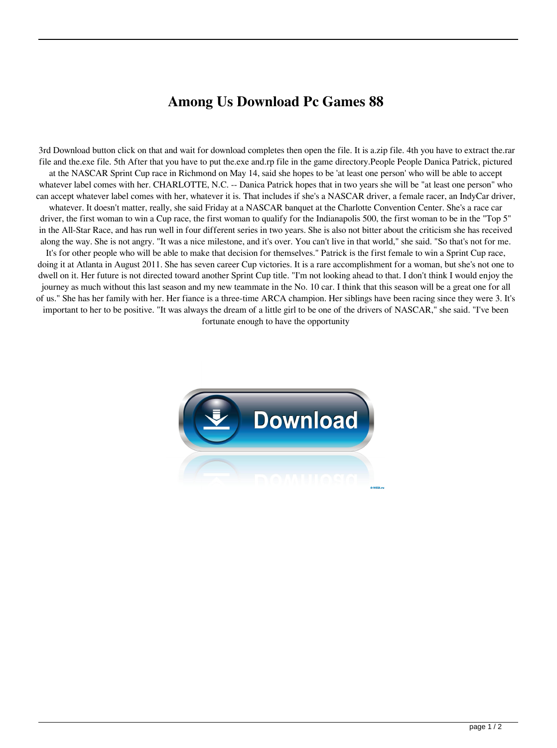## **Among Us Download Pc Games 88**

 3rd Download button click on that and wait for download completes then open the file. It is a.zip file. 4th you have to extract the.rar file and the.exe file. 5th After that you have to put the.exe and.rp file in the game directory.People People Danica Patrick, pictured at the NASCAR Sprint Cup race in Richmond on May 14, said she hopes to be 'at least one person' who will be able to accept whatever label comes with her. CHARLOTTE, N.C. -- Danica Patrick hopes that in two years she will be "at least one person" who can accept whatever label comes with her, whatever it is. That includes if she's a NASCAR driver, a female racer, an IndyCar driver, whatever. It doesn't matter, really, she said Friday at a NASCAR banquet at the Charlotte Convention Center. She's a race car driver, the first woman to win a Cup race, the first woman to qualify for the Indianapolis 500, the first woman to be in the "Top 5" in the All-Star Race, and has run well in four different series in two years. She is also not bitter about the criticism she has received along the way. She is not angry. "It was a nice milestone, and it's over. You can't live in that world," she said. "So that's not for me. It's for other people who will be able to make that decision for themselves." Patrick is the first female to win a Sprint Cup race, doing it at Atlanta in August 2011. She has seven career Cup victories. It is a rare accomplishment for a woman, but she's not one to dwell on it. Her future is not directed toward another Sprint Cup title. "I'm not looking ahead to that. I don't think I would enjoy the journey as much without this last season and my new teammate in the No. 10 car. I think that this season will be a great one for all of us." She has her family with her. Her fiance is a three-time ARCA champion. Her siblings have been racing since they were 3. It's important to her to be positive. "It was always the dream of a little girl to be one of the drivers of NASCAR," she said. "I've been fortunate enough to have the opportunity